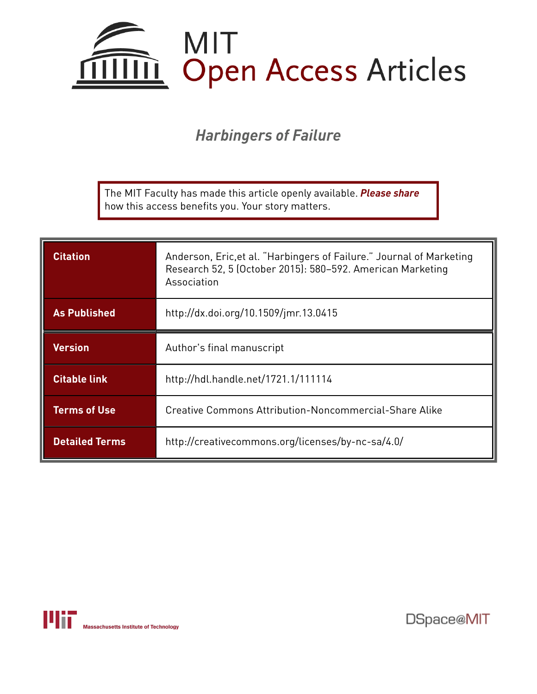

# *Harbingers of Failure*

The MIT Faculty has made this article openly available. *[Please](https://libraries.mit.edu/forms/dspace-oa-articles.html) share* how this access benefits you. Your story matters.

| <b>Citation</b>       | Anderson, Eric, et al. "Harbingers of Failure." Journal of Marketing<br>Research 52, 5 (October 2015): 580-592. American Marketing<br>Association |
|-----------------------|---------------------------------------------------------------------------------------------------------------------------------------------------|
| <b>As Published</b>   | http://dx.doi.org/10.1509/jmr.13.0415                                                                                                             |
| <b>Version</b>        | Author's final manuscript                                                                                                                         |
| <b>Citable link</b>   | http://hdl.handle.net/1721.1/111114                                                                                                               |
| <b>Terms of Use</b>   | Creative Commons Attribution-Noncommercial-Share Alike                                                                                            |
| <b>Detailed Terms</b> | http://creativecommons.org/licenses/by-nc-sa/4.0/                                                                                                 |

Massachusetts Institute of Technology

DSpace@MIT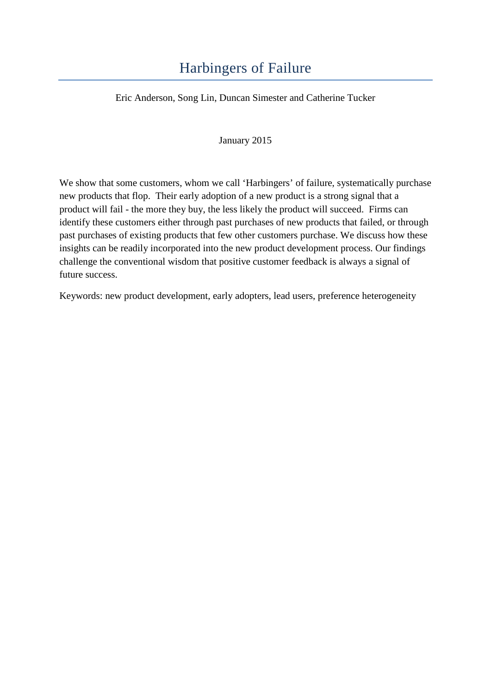# Harbingers of Failure

Eric Anderson, Song Lin, Duncan Simester and Catherine Tucker

January 2015

We show that some customers, whom we call 'Harbingers' of failure, systematically purchase new products that flop. Their early adoption of a new product is a strong signal that a product will fail - the more they buy, the less likely the product will succeed. Firms can identify these customers either through past purchases of new products that failed, or through past purchases of existing products that few other customers purchase. We discuss how these insights can be readily incorporated into the new product development process. Our findings challenge the conventional wisdom that positive customer feedback is always a signal of future success.

Keywords: new product development, early adopters, lead users, preference heterogeneity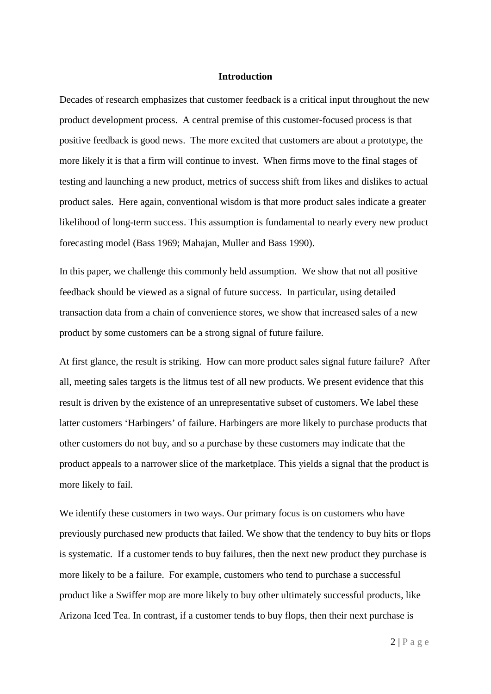#### **Introduction**

Decades of research emphasizes that customer feedback is a critical input throughout the new product development process. A central premise of this customer-focused process is that positive feedback is good news. The more excited that customers are about a prototype, the more likely it is that a firm will continue to invest. When firms move to the final stages of testing and launching a new product, metrics of success shift from likes and dislikes to actual product sales. Here again, conventional wisdom is that more product sales indicate a greater likelihood of long-term success. This assumption is fundamental to nearly every new product forecasting model (Bass 1969; Mahajan, Muller and Bass 1990).

In this paper, we challenge this commonly held assumption. We show that not all positive feedback should be viewed as a signal of future success. In particular, using detailed transaction data from a chain of convenience stores, we show that increased sales of a new product by some customers can be a strong signal of future failure.

At first glance, the result is striking. How can more product sales signal future failure? After all, meeting sales targets is the litmus test of all new products. We present evidence that this result is driven by the existence of an unrepresentative subset of customers. We label these latter customers 'Harbingers' of failure. Harbingers are more likely to purchase products that other customers do not buy, and so a purchase by these customers may indicate that the product appeals to a narrower slice of the marketplace. This yields a signal that the product is more likely to fail.

We identify these customers in two ways. Our primary focus is on customers who have previously purchased new products that failed. We show that the tendency to buy hits or flops is systematic. If a customer tends to buy failures, then the next new product they purchase is more likely to be a failure. For example, customers who tend to purchase a successful product like a Swiffer mop are more likely to buy other ultimately successful products, like Arizona Iced Tea. In contrast, if a customer tends to buy flops, then their next purchase is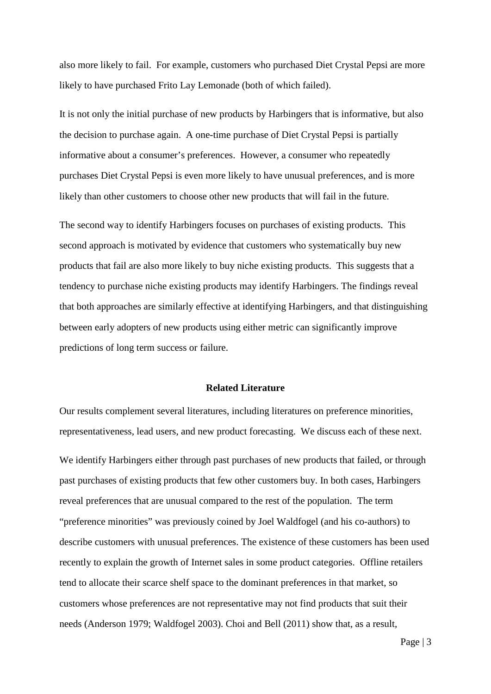also more likely to fail. For example, customers who purchased Diet Crystal Pepsi are more likely to have purchased Frito Lay Lemonade (both of which failed).

It is not only the initial purchase of new products by Harbingers that is informative, but also the decision to purchase again. A one-time purchase of Diet Crystal Pepsi is partially informative about a consumer's preferences. However, a consumer who repeatedly purchases Diet Crystal Pepsi is even more likely to have unusual preferences, and is more likely than other customers to choose other new products that will fail in the future.

The second way to identify Harbingers focuses on purchases of existing products. This second approach is motivated by evidence that customers who systematically buy new products that fail are also more likely to buy niche existing products. This suggests that a tendency to purchase niche existing products may identify Harbingers. The findings reveal that both approaches are similarly effective at identifying Harbingers, and that distinguishing between early adopters of new products using either metric can significantly improve predictions of long term success or failure.

#### **Related Literature**

Our results complement several literatures, including literatures on preference minorities, representativeness, lead users, and new product forecasting. We discuss each of these next.

We identify Harbingers either through past purchases of new products that failed, or through past purchases of existing products that few other customers buy. In both cases, Harbingers reveal preferences that are unusual compared to the rest of the population. The term "preference minorities" was previously coined by Joel Waldfogel (and his co-authors) to describe customers with unusual preferences. The existence of these customers has been used recently to explain the growth of Internet sales in some product categories. Offline retailers tend to allocate their scarce shelf space to the dominant preferences in that market, so customers whose preferences are not representative may not find products that suit their needs (Anderson 1979; Waldfogel 2003). Choi and Bell (2011) show that, as a result,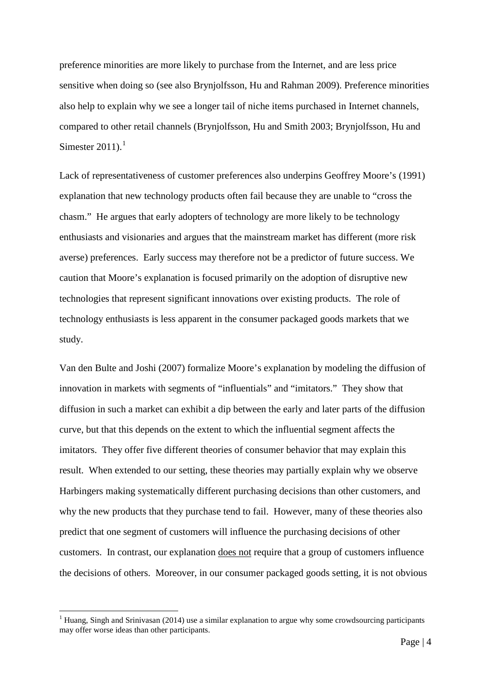preference minorities are more likely to purchase from the Internet, and are less price sensitive when doing so (see also Brynjolfsson, Hu and Rahman 2009). Preference minorities also help to explain why we see a longer tail of niche items purchased in Internet channels, compared to other retail channels (Brynjolfsson, Hu and Smith 2003; Brynjolfsson, Hu and Simester  $2011$  $2011$  $2011$ ).<sup>1</sup>

Lack of representativeness of customer preferences also underpins Geoffrey Moore's (1991) explanation that new technology products often fail because they are unable to "cross the chasm." He argues that early adopters of technology are more likely to be technology enthusiasts and visionaries and argues that the mainstream market has different (more risk averse) preferences. Early success may therefore not be a predictor of future success. We caution that Moore's explanation is focused primarily on the adoption of disruptive new technologies that represent significant innovations over existing products. The role of technology enthusiasts is less apparent in the consumer packaged goods markets that we study.

Van den Bulte and Joshi (2007) formalize Moore's explanation by modeling the diffusion of innovation in markets with segments of "influentials" and "imitators." They show that diffusion in such a market can exhibit a dip between the early and later parts of the diffusion curve, but that this depends on the extent to which the influential segment affects the imitators. They offer five different theories of consumer behavior that may explain this result. When extended to our setting, these theories may partially explain why we observe Harbingers making systematically different purchasing decisions than other customers, and why the new products that they purchase tend to fail. However, many of these theories also predict that one segment of customers will influence the purchasing decisions of other customers. In contrast, our explanation does not require that a group of customers influence the decisions of others. Moreover, in our consumer packaged goods setting, it is not obvious

<span id="page-4-0"></span><sup>&</sup>lt;sup>1</sup> Huang, Singh and Srinivasan (2014) use a similar explanation to argue why some crowdsourcing participants may offer worse ideas than other participants.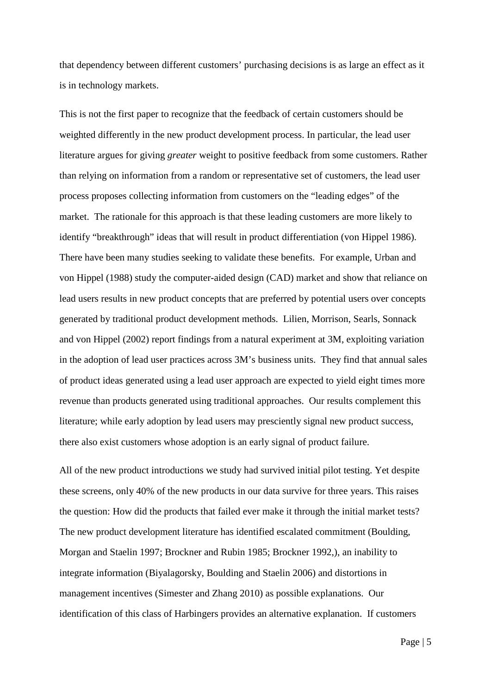that dependency between different customers' purchasing decisions is as large an effect as it is in technology markets.

This is not the first paper to recognize that the feedback of certain customers should be weighted differently in the new product development process. In particular, the lead user literature argues for giving *greater* weight to positive feedback from some customers. Rather than relying on information from a random or representative set of customers, the lead user process proposes collecting information from customers on the "leading edges" of the market. The rationale for this approach is that these leading customers are more likely to identify "breakthrough" ideas that will result in product differentiation (von Hippel 1986). There have been many studies seeking to validate these benefits. For example, Urban and von Hippel (1988) study the computer-aided design (CAD) market and show that reliance on lead users results in new product concepts that are preferred by potential users over concepts generated by traditional product development methods. Lilien, Morrison, Searls, Sonnack and von Hippel (2002) report findings from a natural experiment at 3M, exploiting variation in the adoption of lead user practices across 3M's business units. They find that annual sales of product ideas generated using a lead user approach are expected to yield eight times more revenue than products generated using traditional approaches. Our results complement this literature; while early adoption by lead users may presciently signal new product success, there also exist customers whose adoption is an early signal of product failure.

All of the new product introductions we study had survived initial pilot testing. Yet despite these screens, only 40% of the new products in our data survive for three years. This raises the question: How did the products that failed ever make it through the initial market tests? The new product development literature has identified escalated commitment (Boulding, Morgan and Staelin 1997; Brockner and Rubin 1985; Brockner 1992,), an inability to integrate information (Biyalagorsky, Boulding and Staelin 2006) and distortions in management incentives (Simester and Zhang 2010) as possible explanations. Our identification of this class of Harbingers provides an alternative explanation. If customers

Page | 5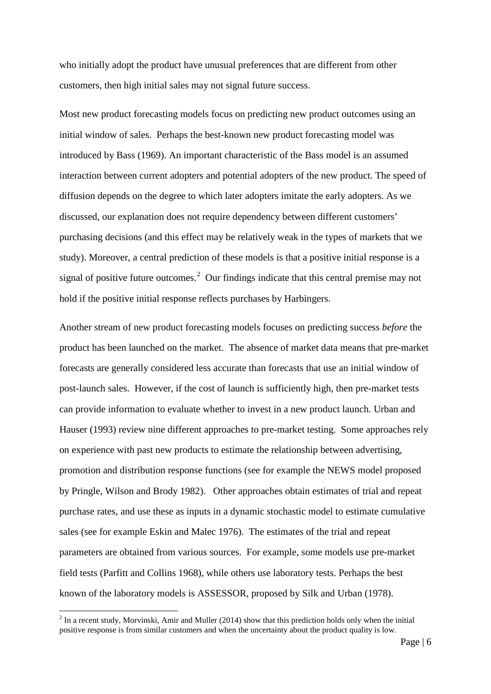who initially adopt the product have unusual preferences that are different from other customers, then high initial sales may not signal future success.

Most new product forecasting models focus on predicting new product outcomes using an initial window of sales. Perhaps the best-known new product forecasting model was introduced by Bass (1969). An important characteristic of the Bass model is an assumed interaction between current adopters and potential adopters of the new product. The speed of diffusion depends on the degree to which later adopters imitate the early adopters. As we discussed, our explanation does not require dependency between different customers' purchasing decisions (and this effect may be relatively weak in the types of markets that we study). Moreover, a central prediction of these models is that a positive initial response is a signal of positive future outcomes.<sup>[2](#page-6-0)</sup> Our findings indicate that this central premise may not hold if the positive initial response reflects purchases by Harbingers.

Another stream of new product forecasting models focuses on predicting success *before* the product has been launched on the market. The absence of market data means that pre-market forecasts are generally considered less accurate than forecasts that use an initial window of post-launch sales. However, if the cost of launch is sufficiently high, then pre-market tests can provide information to evaluate whether to invest in a new product launch. Urban and Hauser (1993) review nine different approaches to pre-market testing. Some approaches rely on experience with past new products to estimate the relationship between advertising, promotion and distribution response functions (see for example the NEWS model proposed by Pringle, Wilson and Brody 1982). Other approaches obtain estimates of trial and repeat purchase rates, and use these as inputs in a dynamic stochastic model to estimate cumulative sales (see for example Eskin and Malec 1976). The estimates of the trial and repeat parameters are obtained from various sources. For example, some models use pre-market field tests (Parfitt and Collins 1968), while others use laboratory tests. Perhaps the best known of the laboratory models is ASSESSOR, proposed by Silk and Urban (1978).

<span id="page-6-0"></span> $2 \text{ In a recent study, Morvinski, Amir and Muller (2014) show that this prediction holds only when the initial$ positive response is from similar customers and when the uncertainty about the product quality is low.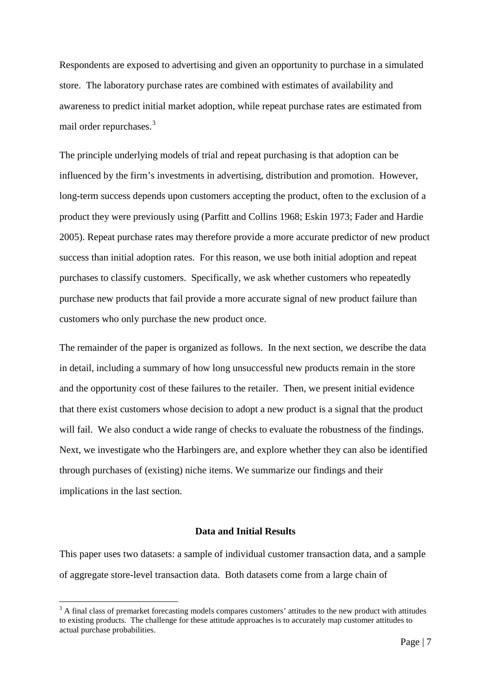Respondents are exposed to advertising and given an opportunity to purchase in a simulated store. The laboratory purchase rates are combined with estimates of availability and awareness to predict initial market adoption, while repeat purchase rates are estimated from mail order repurchases.<sup>[3](#page-7-0)</sup>

The principle underlying models of trial and repeat purchasing is that adoption can be influenced by the firm's investments in advertising, distribution and promotion. However, long-term success depends upon customers accepting the product, often to the exclusion of a product they were previously using (Parfitt and Collins 1968; Eskin 1973; Fader and Hardie 2005). Repeat purchase rates may therefore provide a more accurate predictor of new product success than initial adoption rates. For this reason, we use both initial adoption and repeat purchases to classify customers. Specifically, we ask whether customers who repeatedly purchase new products that fail provide a more accurate signal of new product failure than customers who only purchase the new product once.

The remainder of the paper is organized as follows. In the next section, we describe the data in detail, including a summary of how long unsuccessful new products remain in the store and the opportunity cost of these failures to the retailer. Then, we present initial evidence that there exist customers whose decision to adopt a new product is a signal that the product will fail. We also conduct a wide range of checks to evaluate the robustness of the findings. Next, we investigate who the Harbingers are, and explore whether they can also be identified through purchases of (existing) niche items. We summarize our findings and their implications in the last section.

## **Data and Initial Results**

This paper uses two datasets: a sample of individual customer transaction data, and a sample of aggregate store-level transaction data. Both datasets come from a large chain of

<span id="page-7-0"></span><sup>&</sup>lt;sup>3</sup> A final class of premarket forecasting models compares customers' attitudes to the new product with attitudes to existing products. The challenge for these attitude approaches is to accurately map customer attitudes to actual purchase probabilities.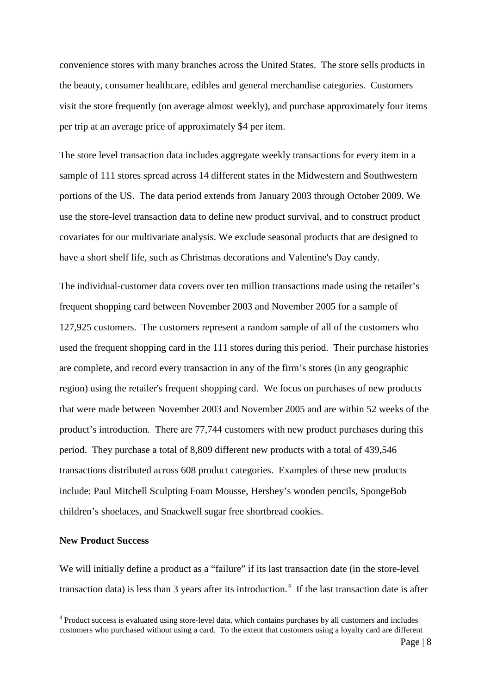convenience stores with many branches across the United States. The store sells products in the beauty, consumer healthcare, edibles and general merchandise categories. Customers visit the store frequently (on average almost weekly), and purchase approximately four items per trip at an average price of approximately \$4 per item.

The store level transaction data includes aggregate weekly transactions for every item in a sample of 111 stores spread across 14 different states in the Midwestern and Southwestern portions of the US. The data period extends from January 2003 through October 2009. We use the store-level transaction data to define new product survival, and to construct product covariates for our multivariate analysis. We exclude seasonal products that are designed to have a short shelf life, such as Christmas decorations and Valentine's Day candy.

The individual-customer data covers over ten million transactions made using the retailer's frequent shopping card between November 2003 and November 2005 for a sample of 127,925 customers. The customers represent a random sample of all of the customers who used the frequent shopping card in the 111 stores during this period. Their purchase histories are complete, and record every transaction in any of the firm's stores (in any geographic region) using the retailer's frequent shopping card. We focus on purchases of new products that were made between November 2003 and November 2005 and are within 52 weeks of the product's introduction. There are 77,744 customers with new product purchases during this period. They purchase a total of 8,809 different new products with a total of 439,546 transactions distributed across 608 product categories. Examples of these new products include: Paul Mitchell Sculpting Foam Mousse, Hershey's wooden pencils, SpongeBob children's shoelaces, and Snackwell sugar free shortbread cookies.

# **New Product Success**

We will initially define a product as a "failure" if its last transaction date (in the store-level transaction data) is less than 3 years after its introduction.<sup>[4](#page-8-0)</sup> If the last transaction date is after

<span id="page-8-0"></span><sup>4</sup> Product success is evaluated using store-level data, which contains purchases by all customers and includes customers who purchased without using a card. To the extent that customers using a loyalty card are different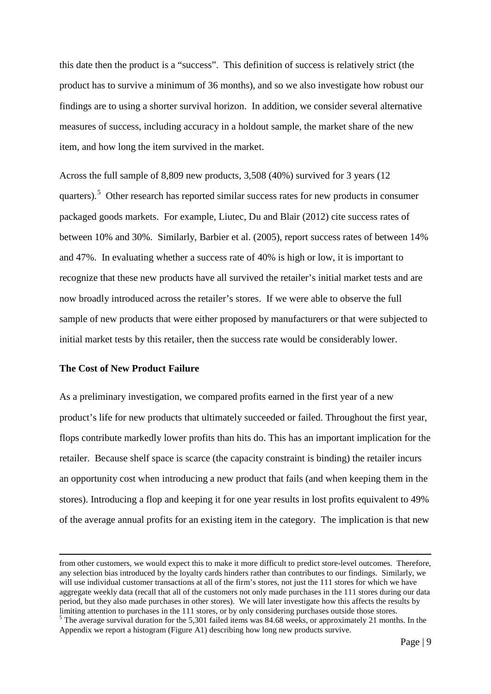this date then the product is a "success". This definition of success is relatively strict (the product has to survive a minimum of 36 months), and so we also investigate how robust our findings are to using a shorter survival horizon. In addition, we consider several alternative measures of success, including accuracy in a holdout sample, the market share of the new item, and how long the item survived in the market.

Across the full sample of 8,809 new products, 3,508 (40%) survived for 3 years (12 quarters).<sup>[5](#page-9-0)</sup> Other research has reported similar success rates for new products in consumer packaged goods markets. For example, Liutec, Du and Blair (2012) cite success rates of between 10% and 30%. Similarly, Barbier et al. (2005), report success rates of between 14% and 47%. In evaluating whether a success rate of 40% is high or low, it is important to recognize that these new products have all survived the retailer's initial market tests and are now broadly introduced across the retailer's stores. If we were able to observe the full sample of new products that were either proposed by manufacturers or that were subjected to initial market tests by this retailer, then the success rate would be considerably lower.

#### **The Cost of New Product Failure**

 $\overline{\phantom{a}}$ 

As a preliminary investigation, we compared profits earned in the first year of a new product's life for new products that ultimately succeeded or failed. Throughout the first year, flops contribute markedly lower profits than hits do. This has an important implication for the retailer. Because shelf space is scarce (the capacity constraint is binding) the retailer incurs an opportunity cost when introducing a new product that fails (and when keeping them in the stores). Introducing a flop and keeping it for one year results in lost profits equivalent to 49% of the average annual profits for an existing item in the category. The implication is that new

from other customers, we would expect this to make it more difficult to predict store-level outcomes. Therefore, any selection bias introduced by the loyalty cards hinders rather than contributes to our findings. Similarly, we will use individual customer transactions at all of the firm's stores, not just the 111 stores for which we have aggregate weekly data (recall that all of the customers not only made purchases in the 111 stores during our data period, but they also made purchases in other stores). We will later investigate how this affects the results by limiting attention to purchases in the 111 stores, or by only considering purchases outside those stores.

<span id="page-9-0"></span><sup>&</sup>lt;sup>5</sup>The average survival duration for the 5,301 failed items was 84.68 weeks, or approximately 21 months. In the Appendix we report a histogram (Figure A1) describing how long new products survive.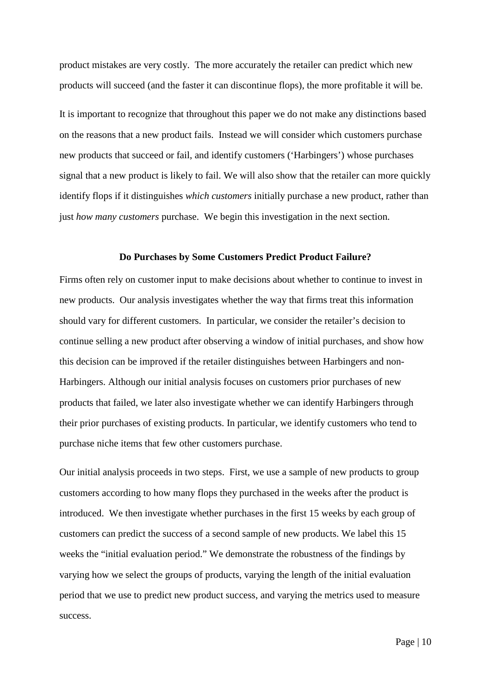product mistakes are very costly. The more accurately the retailer can predict which new products will succeed (and the faster it can discontinue flops), the more profitable it will be.

It is important to recognize that throughout this paper we do not make any distinctions based on the reasons that a new product fails. Instead we will consider which customers purchase new products that succeed or fail, and identify customers ('Harbingers') whose purchases signal that a new product is likely to fail. We will also show that the retailer can more quickly identify flops if it distinguishes *which customers* initially purchase a new product, rather than just *how many customers* purchase. We begin this investigation in the next section.

#### **Do Purchases by Some Customers Predict Product Failure?**

Firms often rely on customer input to make decisions about whether to continue to invest in new products. Our analysis investigates whether the way that firms treat this information should vary for different customers. In particular, we consider the retailer's decision to continue selling a new product after observing a window of initial purchases, and show how this decision can be improved if the retailer distinguishes between Harbingers and non-Harbingers. Although our initial analysis focuses on customers prior purchases of new products that failed, we later also investigate whether we can identify Harbingers through their prior purchases of existing products. In particular, we identify customers who tend to purchase niche items that few other customers purchase.

Our initial analysis proceeds in two steps. First, we use a sample of new products to group customers according to how many flops they purchased in the weeks after the product is introduced. We then investigate whether purchases in the first 15 weeks by each group of customers can predict the success of a second sample of new products. We label this 15 weeks the "initial evaluation period." We demonstrate the robustness of the findings by varying how we select the groups of products, varying the length of the initial evaluation period that we use to predict new product success, and varying the metrics used to measure success.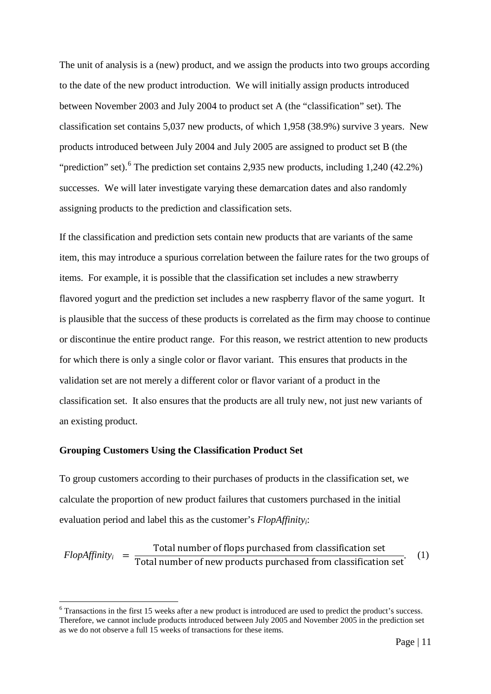The unit of analysis is a (new) product, and we assign the products into two groups according to the date of the new product introduction. We will initially assign products introduced between November 2003 and July 2004 to product set A (the "classification" set). The classification set contains 5,037 new products, of which 1,958 (38.9%) survive 3 years. New products introduced between July 2004 and July 2005 are assigned to product set B (the "prediction" set).<sup>[6](#page-11-0)</sup> The prediction set contains 2,935 new products, including 1,240 (42.2%) successes. We will later investigate varying these demarcation dates and also randomly assigning products to the prediction and classification sets.

If the classification and prediction sets contain new products that are variants of the same item, this may introduce a spurious correlation between the failure rates for the two groups of items. For example, it is possible that the classification set includes a new strawberry flavored yogurt and the prediction set includes a new raspberry flavor of the same yogurt. It is plausible that the success of these products is correlated as the firm may choose to continue or discontinue the entire product range. For this reason, we restrict attention to new products for which there is only a single color or flavor variant. This ensures that products in the validation set are not merely a different color or flavor variant of a product in the classification set. It also ensures that the products are all truly new, not just new variants of an existing product.

#### **Grouping Customers Using the Classification Product Set**

To group customers according to their purchases of products in the classification set, we calculate the proportion of new product failures that customers purchased in the initial evaluation period and label this as the customer's *FlopAffinityi*:

 $FlopAffinity_i = \frac{\text{Total number of flops purchased from classification set}}{\text{Total number of new products purchased from classification set}}$  (1)

<span id="page-11-0"></span><sup>&</sup>lt;sup>6</sup> Transactions in the first 15 weeks after a new product is introduced are used to predict the product's success. Therefore, we cannot include products introduced between July 2005 and November 2005 in the prediction set as we do not observe a full 15 weeks of transactions for these items.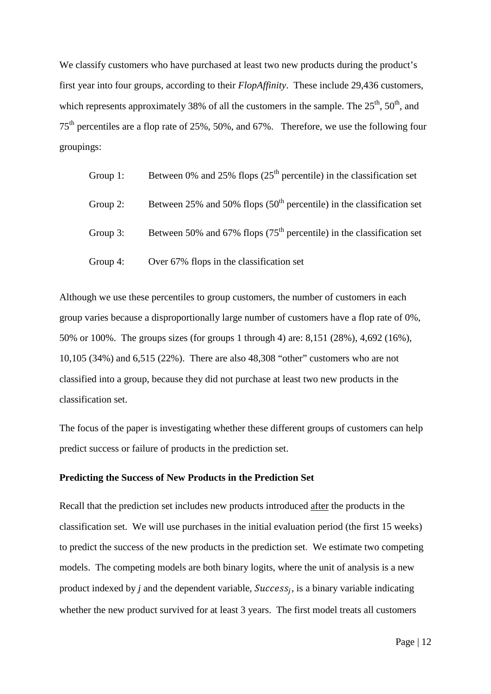We classify customers who have purchased at least two new products during the product's first year into four groups, according to their *FlopAffinity*. These include 29,436 customers, which represents approximately 38% of all the customers in the sample. The  $25<sup>th</sup>$ ,  $50<sup>th</sup>$ , and 75th percentiles are a flop rate of 25%, 50%, and 67%. Therefore, we use the following four groupings:

| Group $1$ : | Between 0% and 25% flops $(25th$ percentile) in the classification set  |
|-------------|-------------------------------------------------------------------------|
| Group $2$ : | Between 25% and 50% flops $(50th$ percentile) in the classification set |
| Group $3$ : | Between 50% and 67% flops $(75th$ percentile) in the classification set |
| Group $4$ : | Over 67% flops in the classification set                                |

Although we use these percentiles to group customers, the number of customers in each group varies because a disproportionally large number of customers have a flop rate of 0%, 50% or 100%. The groups sizes (for groups 1 through 4) are: 8,151 (28%), 4,692 (16%), 10,105 (34%) and 6,515 (22%). There are also 48,308 "other" customers who are not classified into a group, because they did not purchase at least two new products in the classification set.

The focus of the paper is investigating whether these different groups of customers can help predict success or failure of products in the prediction set.

# **Predicting the Success of New Products in the Prediction Set**

Recall that the prediction set includes new products introduced after the products in the classification set. We will use purchases in the initial evaluation period (the first 15 weeks) to predict the success of the new products in the prediction set. We estimate two competing models. The competing models are both binary logits, where the unit of analysis is a new product indexed by  $j$  and the dependent variable,  $Success_j$ , is a binary variable indicating whether the new product survived for at least 3 years. The first model treats all customers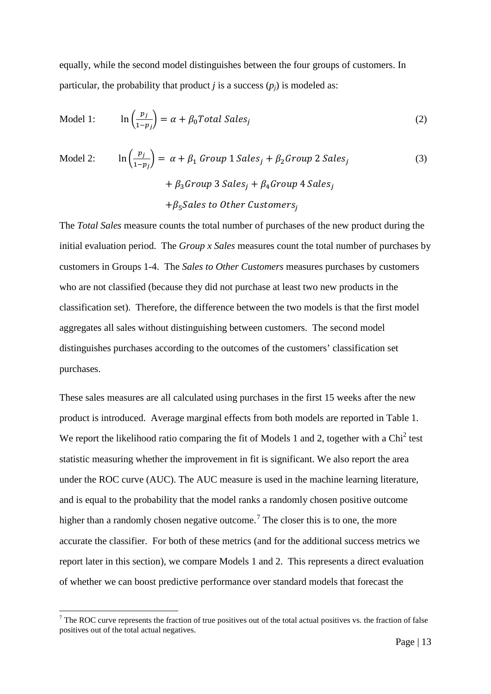equally, while the second model distinguishes between the four groups of customers. In particular, the probability that product *j* is a success  $(p_i)$  is modeled as:

$$
\text{Model 1:} \qquad \ln\left(\frac{p_j}{1 - p_j}\right) = \alpha + \beta_0 \text{Total Sales}_j \tag{2}
$$

Model 2: 
$$
\ln\left(\frac{p_j}{1-p_j}\right) = \alpha + \beta_1 \text{ Group } 1 \text{ Sales}_j + \beta_2 \text{Group } 2 \text{ Sales}_j
$$

$$
+ \beta_3 \text{Group } 3 \text{ Sales}_j + \beta_4 \text{Group } 4 \text{ Sales}_j
$$

$$
+ \beta_5 \text{Sales to Other Customers}_j
$$
 (3)

The *Total Sales* measure counts the total number of purchases of the new product during the initial evaluation period. The *Group x Sales* measures count the total number of purchases by customers in Groups 1-4. The *Sales to Other Customers* measures purchases by customers who are not classified (because they did not purchase at least two new products in the classification set). Therefore, the difference between the two models is that the first model aggregates all sales without distinguishing between customers. The second model distinguishes purchases according to the outcomes of the customers' classification set purchases.

These sales measures are all calculated using purchases in the first 15 weeks after the new product is introduced. Average marginal effects from both models are reported in Table 1. We report the likelihood ratio comparing the fit of Models 1 and 2, together with a  $\text{Chi}^2$  test statistic measuring whether the improvement in fit is significant. We also report the area under the ROC curve (AUC). The AUC measure is used in the machine learning literature, and is equal to the probability that the model ranks a randomly chosen positive outcome higher than a randomly chosen negative outcome.<sup>[7](#page-13-0)</sup> The closer this is to one, the more accurate the classifier. For both of these metrics (and for the additional success metrics we report later in this section), we compare Models 1 and 2. This represents a direct evaluation of whether we can boost predictive performance over standard models that forecast the

<span id="page-13-0"></span><sup>&</sup>lt;sup>7</sup> The ROC curve represents the fraction of true positives out of the total actual positives vs. the fraction of false positives out of the total actual negatives.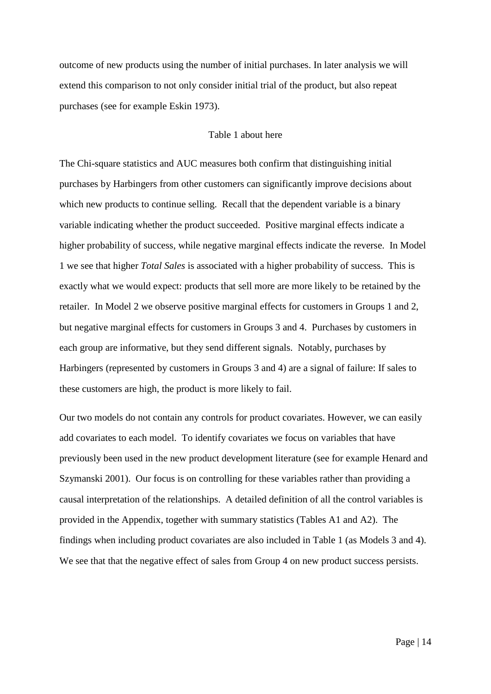outcome of new products using the number of initial purchases. In later analysis we will extend this comparison to not only consider initial trial of the product, but also repeat purchases (see for example Eskin 1973).

## Table 1 about here

The Chi-square statistics and AUC measures both confirm that distinguishing initial purchases by Harbingers from other customers can significantly improve decisions about which new products to continue selling. Recall that the dependent variable is a binary variable indicating whether the product succeeded. Positive marginal effects indicate a higher probability of success, while negative marginal effects indicate the reverse. In Model 1 we see that higher *Total Sales* is associated with a higher probability of success. This is exactly what we would expect: products that sell more are more likely to be retained by the retailer. In Model 2 we observe positive marginal effects for customers in Groups 1 and 2, but negative marginal effects for customers in Groups 3 and 4. Purchases by customers in each group are informative, but they send different signals. Notably, purchases by Harbingers (represented by customers in Groups 3 and 4) are a signal of failure: If sales to these customers are high, the product is more likely to fail.

Our two models do not contain any controls for product covariates. However, we can easily add covariates to each model. To identify covariates we focus on variables that have previously been used in the new product development literature (see for example Henard and Szymanski 2001). Our focus is on controlling for these variables rather than providing a causal interpretation of the relationships. A detailed definition of all the control variables is provided in the Appendix, together with summary statistics (Tables A1 and A2). The findings when including product covariates are also included in Table 1 (as Models 3 and 4). We see that that the negative effect of sales from Group 4 on new product success persists.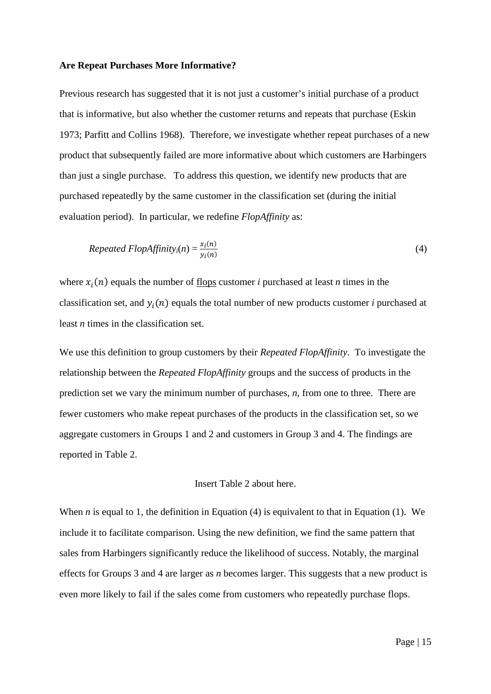#### **Are Repeat Purchases More Informative?**

Previous research has suggested that it is not just a customer's initial purchase of a product that is informative, but also whether the customer returns and repeats that purchase (Eskin 1973; Parfitt and Collins 1968). Therefore, we investigate whether repeat purchases of a new product that subsequently failed are more informative about which customers are Harbingers than just a single purchase. To address this question, we identify new products that are purchased repeatedly by the same customer in the classification set (during the initial evaluation period). In particular, we redefine *FlopAffinity* as:

$$
Repeated FlopAffinity_i(n) = \frac{x_i(n)}{y_i(n)}
$$
\n(4)

where  $x_i(n)$  equals the number of <u>flops</u> customer *i* purchased at least *n* times in the classification set, and  $y_i(n)$  equals the total number of new products customer *i* purchased at least *n* times in the classification set.

We use this definition to group customers by their *Repeated FlopAffinity*. To investigate the relationship between the *Repeated FlopAffinity* groups and the success of products in the prediction set we vary the minimum number of purchases, *n*, from one to three. There are fewer customers who make repeat purchases of the products in the classification set, so we aggregate customers in Groups 1 and 2 and customers in Group 3 and 4. The findings are reported in Table 2.

#### Insert Table 2 about here.

When *n* is equal to 1, the definition in Equation (4) is equivalent to that in Equation (1). We include it to facilitate comparison. Using the new definition, we find the same pattern that sales from Harbingers significantly reduce the likelihood of success. Notably, the marginal effects for Groups 3 and 4 are larger as *n* becomes larger. This suggests that a new product is even more likely to fail if the sales come from customers who repeatedly purchase flops.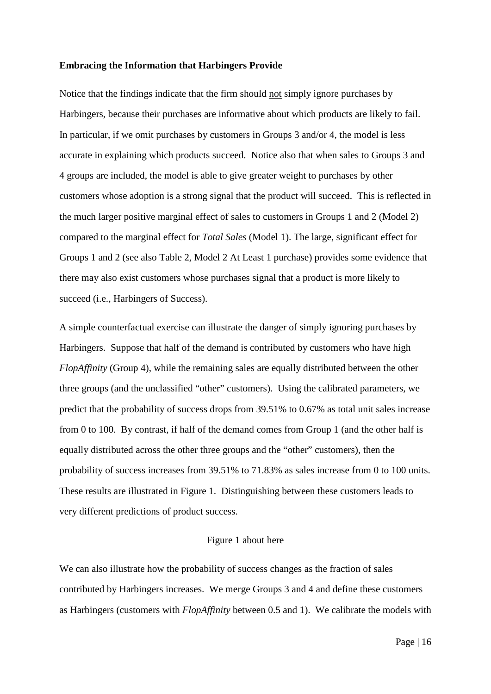#### **Embracing the Information that Harbingers Provide**

Notice that the findings indicate that the firm should not simply ignore purchases by Harbingers, because their purchases are informative about which products are likely to fail. In particular, if we omit purchases by customers in Groups 3 and/or 4, the model is less accurate in explaining which products succeed. Notice also that when sales to Groups 3 and 4 groups are included, the model is able to give greater weight to purchases by other customers whose adoption is a strong signal that the product will succeed. This is reflected in the much larger positive marginal effect of sales to customers in Groups 1 and 2 (Model 2) compared to the marginal effect for *Total Sales* (Model 1). The large, significant effect for Groups 1 and 2 (see also Table 2, Model 2 At Least 1 purchase) provides some evidence that there may also exist customers whose purchases signal that a product is more likely to succeed (i.e., Harbingers of Success).

A simple counterfactual exercise can illustrate the danger of simply ignoring purchases by Harbingers. Suppose that half of the demand is contributed by customers who have high *FlopAffinity* (Group 4), while the remaining sales are equally distributed between the other three groups (and the unclassified "other" customers). Using the calibrated parameters, we predict that the probability of success drops from 39.51% to 0.67% as total unit sales increase from 0 to 100. By contrast, if half of the demand comes from Group 1 (and the other half is equally distributed across the other three groups and the "other" customers), then the probability of success increases from 39.51% to 71.83% as sales increase from 0 to 100 units. These results are illustrated in Figure 1. Distinguishing between these customers leads to very different predictions of product success.

# Figure 1 about here

We can also illustrate how the probability of success changes as the fraction of sales contributed by Harbingers increases. We merge Groups 3 and 4 and define these customers as Harbingers (customers with *FlopAffinity* between 0.5 and 1). We calibrate the models with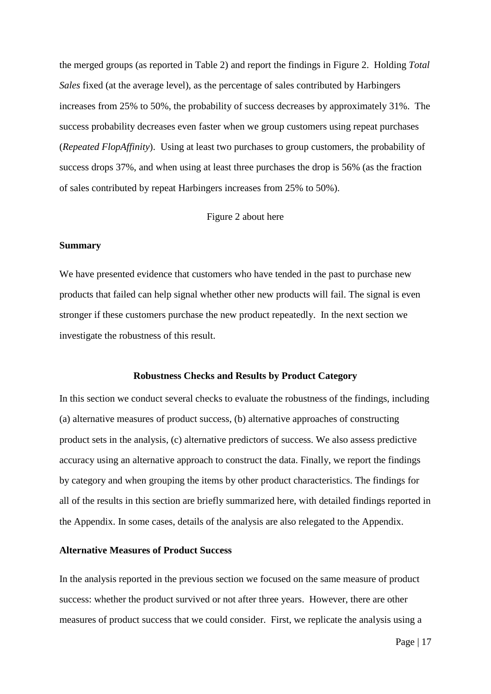the merged groups (as reported in Table 2) and report the findings in Figure 2. Holding *Total Sales* fixed (at the average level), as the percentage of sales contributed by Harbingers increases from 25% to 50%, the probability of success decreases by approximately 31%. The success probability decreases even faster when we group customers using repeat purchases (*Repeated FlopAffinity*). Using at least two purchases to group customers, the probability of success drops 37%, and when using at least three purchases the drop is 56% (as the fraction of sales contributed by repeat Harbingers increases from 25% to 50%).

Figure 2 about here

#### **Summary**

We have presented evidence that customers who have tended in the past to purchase new products that failed can help signal whether other new products will fail. The signal is even stronger if these customers purchase the new product repeatedly. In the next section we investigate the robustness of this result.

#### **Robustness Checks and Results by Product Category**

In this section we conduct several checks to evaluate the robustness of the findings, including (a) alternative measures of product success, (b) alternative approaches of constructing product sets in the analysis, (c) alternative predictors of success. We also assess predictive accuracy using an alternative approach to construct the data. Finally, we report the findings by category and when grouping the items by other product characteristics. The findings for all of the results in this section are briefly summarized here, with detailed findings reported in the Appendix. In some cases, details of the analysis are also relegated to the Appendix.

#### **Alternative Measures of Product Success**

In the analysis reported in the previous section we focused on the same measure of product success: whether the product survived or not after three years. However, there are other measures of product success that we could consider. First, we replicate the analysis using a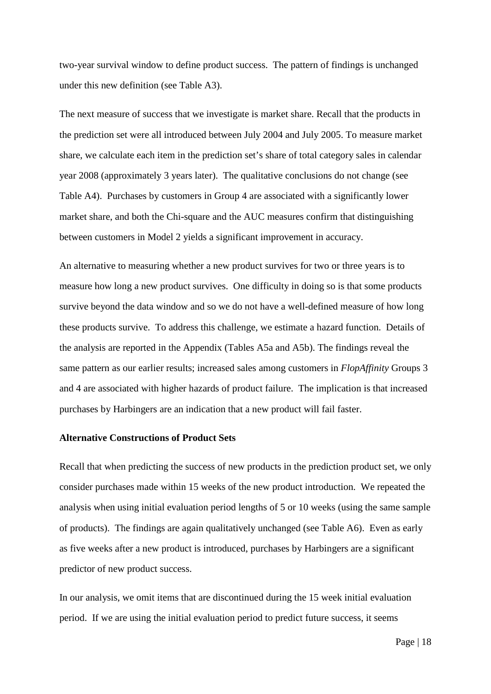two-year survival window to define product success. The pattern of findings is unchanged under this new definition (see Table A3).

The next measure of success that we investigate is market share. Recall that the products in the prediction set were all introduced between July 2004 and July 2005. To measure market share, we calculate each item in the prediction set's share of total category sales in calendar year 2008 (approximately 3 years later). The qualitative conclusions do not change (see Table A4). Purchases by customers in Group 4 are associated with a significantly lower market share, and both the Chi-square and the AUC measures confirm that distinguishing between customers in Model 2 yields a significant improvement in accuracy.

An alternative to measuring whether a new product survives for two or three years is to measure how long a new product survives. One difficulty in doing so is that some products survive beyond the data window and so we do not have a well-defined measure of how long these products survive. To address this challenge, we estimate a hazard function. Details of the analysis are reported in the Appendix (Tables A5a and A5b). The findings reveal the same pattern as our earlier results; increased sales among customers in *FlopAffinity* Groups 3 and 4 are associated with higher hazards of product failure. The implication is that increased purchases by Harbingers are an indication that a new product will fail faster.

#### **Alternative Constructions of Product Sets**

Recall that when predicting the success of new products in the prediction product set, we only consider purchases made within 15 weeks of the new product introduction. We repeated the analysis when using initial evaluation period lengths of 5 or 10 weeks (using the same sample of products). The findings are again qualitatively unchanged (see Table A6). Even as early as five weeks after a new product is introduced, purchases by Harbingers are a significant predictor of new product success.

In our analysis, we omit items that are discontinued during the 15 week initial evaluation period. If we are using the initial evaluation period to predict future success, it seems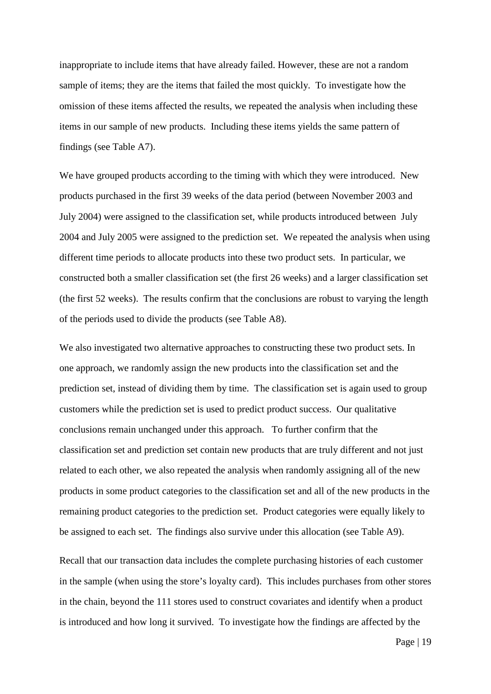inappropriate to include items that have already failed. However, these are not a random sample of items; they are the items that failed the most quickly. To investigate how the omission of these items affected the results, we repeated the analysis when including these items in our sample of new products. Including these items yields the same pattern of findings (see Table A7).

We have grouped products according to the timing with which they were introduced. New products purchased in the first 39 weeks of the data period (between November 2003 and July 2004) were assigned to the classification set, while products introduced between July 2004 and July 2005 were assigned to the prediction set. We repeated the analysis when using different time periods to allocate products into these two product sets. In particular, we constructed both a smaller classification set (the first 26 weeks) and a larger classification set (the first 52 weeks). The results confirm that the conclusions are robust to varying the length of the periods used to divide the products (see Table A8).

We also investigated two alternative approaches to constructing these two product sets. In one approach, we randomly assign the new products into the classification set and the prediction set, instead of dividing them by time. The classification set is again used to group customers while the prediction set is used to predict product success. Our qualitative conclusions remain unchanged under this approach. To further confirm that the classification set and prediction set contain new products that are truly different and not just related to each other, we also repeated the analysis when randomly assigning all of the new products in some product categories to the classification set and all of the new products in the remaining product categories to the prediction set. Product categories were equally likely to be assigned to each set. The findings also survive under this allocation (see Table A9).

Recall that our transaction data includes the complete purchasing histories of each customer in the sample (when using the store's loyalty card). This includes purchases from other stores in the chain, beyond the 111 stores used to construct covariates and identify when a product is introduced and how long it survived. To investigate how the findings are affected by the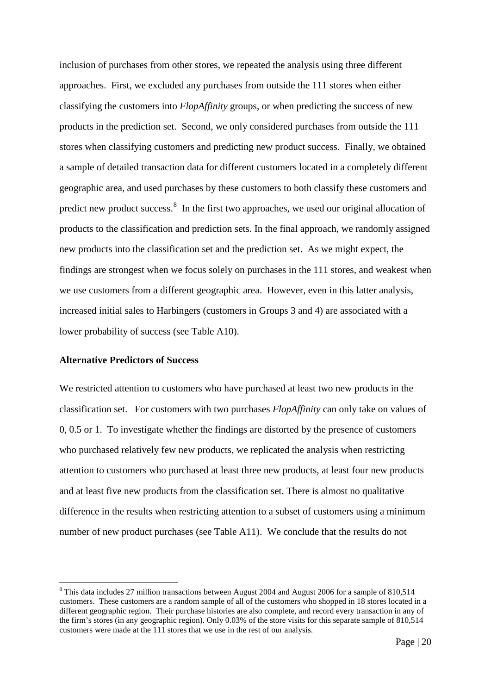inclusion of purchases from other stores, we repeated the analysis using three different approaches. First, we excluded any purchases from outside the 111 stores when either classifying the customers into *FlopAffinity* groups, or when predicting the success of new products in the prediction set. Second, we only considered purchases from outside the 111 stores when classifying customers and predicting new product success. Finally, we obtained a sample of detailed transaction data for different customers located in a completely different geographic area, and used purchases by these customers to both classify these customers and predict new product success.<sup>[8](#page-20-0)</sup> In the first two approaches, we used our original allocation of products to the classification and prediction sets. In the final approach, we randomly assigned new products into the classification set and the prediction set. As we might expect, the findings are strongest when we focus solely on purchases in the 111 stores, and weakest when we use customers from a different geographic area. However, even in this latter analysis, increased initial sales to Harbingers (customers in Groups 3 and 4) are associated with a lower probability of success (see Table A10).

## **Alternative Predictors of Success**

We restricted attention to customers who have purchased at least two new products in the classification set. For customers with two purchases *FlopAffinity* can only take on values of 0, 0.5 or 1. To investigate whether the findings are distorted by the presence of customers who purchased relatively few new products, we replicated the analysis when restricting attention to customers who purchased at least three new products, at least four new products and at least five new products from the classification set. There is almost no qualitative difference in the results when restricting attention to a subset of customers using a minimum number of new product purchases (see Table A11). We conclude that the results do not

<span id="page-20-0"></span><sup>&</sup>lt;sup>8</sup> This data includes 27 million transactions between August 2004 and August 2006 for a sample of 810,514 customers. These customers are a random sample of all of the customers who shopped in 18 stores located in a different geographic region. Their purchase histories are also complete, and record every transaction in any of the firm's stores (in any geographic region). Only 0.03% of the store visits for this separate sample of 810,514 customers were made at the 111 stores that we use in the rest of our analysis.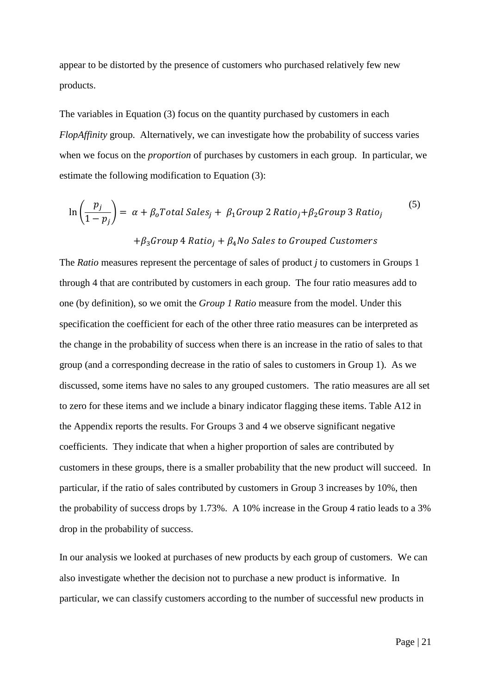appear to be distorted by the presence of customers who purchased relatively few new products.

The variables in Equation (3) focus on the quantity purchased by customers in each *FlopAffinity* group. Alternatively, we can investigate how the probability of success varies when we focus on the *proportion* of purchases by customers in each group. In particular, we estimate the following modification to Equation (3):

$$
\ln\left(\frac{p_j}{1-p_j}\right) = \alpha + \beta_o Total Sales_j + \beta_1 Group \ 2 Ratio_j + \beta_2 Group \ 3 Ratio_j
$$
\n
$$
+ \beta_3 Group \ 4 Ratio_j + \beta_4 No \ 5ales \ to \ Group \ d \ Customers
$$
\n(5)

The *Ratio* measures represent the percentage of sales of product *j* to customers in Groups 1 through 4 that are contributed by customers in each group. The four ratio measures add to one (by definition), so we omit the *Group 1 Ratio* measure from the model. Under this specification the coefficient for each of the other three ratio measures can be interpreted as the change in the probability of success when there is an increase in the ratio of sales to that group (and a corresponding decrease in the ratio of sales to customers in Group 1). As we discussed, some items have no sales to any grouped customers. The ratio measures are all set to zero for these items and we include a binary indicator flagging these items. Table A12 in the Appendix reports the results. For Groups 3 and 4 we observe significant negative coefficients. They indicate that when a higher proportion of sales are contributed by customers in these groups, there is a smaller probability that the new product will succeed. In particular, if the ratio of sales contributed by customers in Group 3 increases by 10%, then the probability of success drops by 1.73%. A 10% increase in the Group 4 ratio leads to a 3% drop in the probability of success.

In our analysis we looked at purchases of new products by each group of customers. We can also investigate whether the decision not to purchase a new product is informative. In particular, we can classify customers according to the number of successful new products in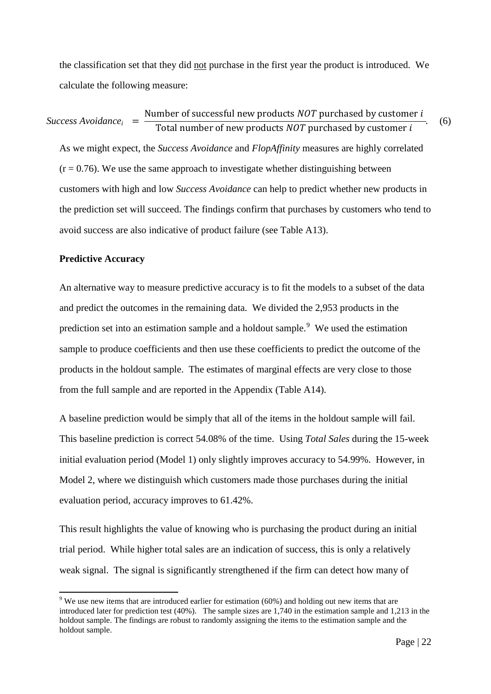the classification set that they did not purchase in the first year the product is introduced. We calculate the following measure:

As we might expect, the *Success Avoidance* and *FlopAffinity* measures are highly correlated  $(r = 0.76)$ . We use the same approach to investigate whether distinguishing between customers with high and low *Success Avoidance* can help to predict whether new products in the prediction set will succeed. The findings confirm that purchases by customers who tend to avoid success are also indicative of product failure (see Table A13).  $Success \, Avoidance_i = \frac{\text{Number of successful new products } NOT \, purchased \, by \, customer \, i}{\text{Total number of new products } NOT \, purchased \, by \, customer \, i}$ . (6)

# **Predictive Accuracy**

An alternative way to measure predictive accuracy is to fit the models to a subset of the data and predict the outcomes in the remaining data. We divided the 2,953 products in the prediction set into an estimation sample and a holdout sample.<sup>[9](#page-22-0)</sup> We used the estimation sample to produce coefficients and then use these coefficients to predict the outcome of the products in the holdout sample. The estimates of marginal effects are very close to those from the full sample and are reported in the Appendix (Table A14).

A baseline prediction would be simply that all of the items in the holdout sample will fail. This baseline prediction is correct 54.08% of the time. Using *Total Sales* during the 15-week initial evaluation period (Model 1) only slightly improves accuracy to 54.99%. However, in Model 2, where we distinguish which customers made those purchases during the initial evaluation period, accuracy improves to 61.42%.

This result highlights the value of knowing who is purchasing the product during an initial trial period. While higher total sales are an indication of success, this is only a relatively weak signal. The signal is significantly strengthened if the firm can detect how many of

<span id="page-22-0"></span> $9$  We use new items that are introduced earlier for estimation (60%) and holding out new items that are introduced later for prediction test (40%). The sample sizes are 1,740 in the estimation sample and 1,213 in the holdout sample. The findings are robust to randomly assigning the items to the estimation sample and the holdout sample.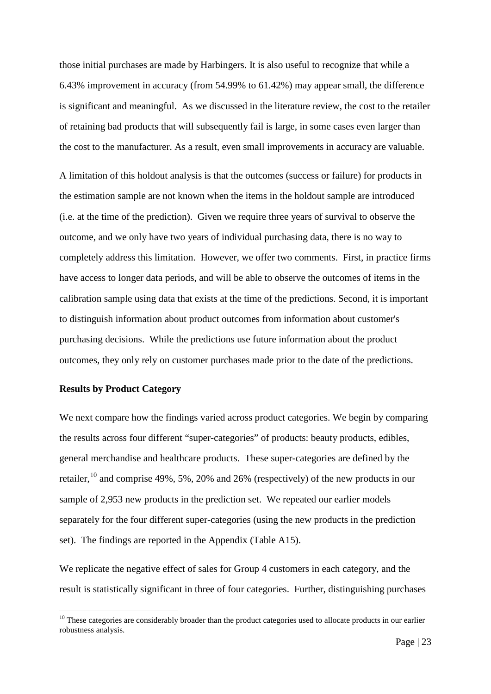those initial purchases are made by Harbingers. It is also useful to recognize that while a 6.43% improvement in accuracy (from 54.99% to 61.42%) may appear small, the difference is significant and meaningful. As we discussed in the literature review, the cost to the retailer of retaining bad products that will subsequently fail is large, in some cases even larger than the cost to the manufacturer. As a result, even small improvements in accuracy are valuable.

A limitation of this holdout analysis is that the outcomes (success or failure) for products in the estimation sample are not known when the items in the holdout sample are introduced (i.e. at the time of the prediction). Given we require three years of survival to observe the outcome, and we only have two years of individual purchasing data, there is no way to completely address this limitation. However, we offer two comments. First, in practice firms have access to longer data periods, and will be able to observe the outcomes of items in the calibration sample using data that exists at the time of the predictions. Second, it is important to distinguish information about product outcomes from information about customer's purchasing decisions. While the predictions use future information about the product outcomes, they only rely on customer purchases made prior to the date of the predictions.

## **Results by Product Category**

We next compare how the findings varied across product categories. We begin by comparing the results across four different "super-categories" of products: beauty products, edibles, general merchandise and healthcare products. These super-categories are defined by the retailer,  $^{10}$  $^{10}$  $^{10}$  and comprise 49%, 5%, 20% and 26% (respectively) of the new products in our sample of 2,953 new products in the prediction set. We repeated our earlier models separately for the four different super-categories (using the new products in the prediction set). The findings are reported in the Appendix (Table A15).

We replicate the negative effect of sales for Group 4 customers in each category, and the result is statistically significant in three of four categories. Further, distinguishing purchases

<span id="page-23-0"></span> $10$  These categories are considerably broader than the product categories used to allocate products in our earlier robustness analysis.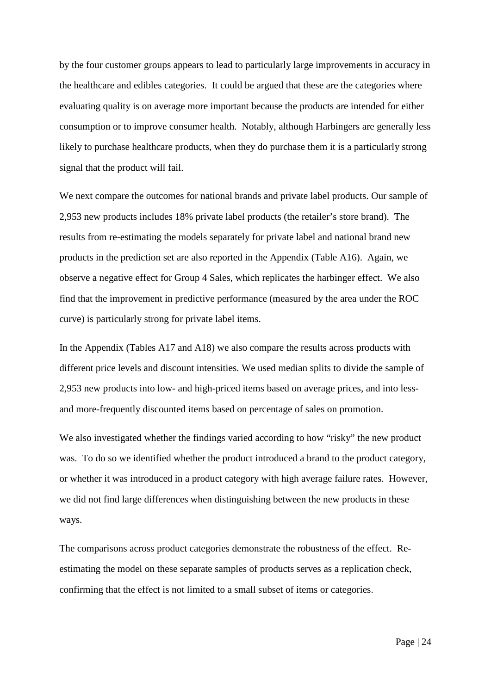by the four customer groups appears to lead to particularly large improvements in accuracy in the healthcare and edibles categories. It could be argued that these are the categories where evaluating quality is on average more important because the products are intended for either consumption or to improve consumer health. Notably, although Harbingers are generally less likely to purchase healthcare products, when they do purchase them it is a particularly strong signal that the product will fail.

We next compare the outcomes for national brands and private label products. Our sample of 2,953 new products includes 18% private label products (the retailer's store brand). The results from re-estimating the models separately for private label and national brand new products in the prediction set are also reported in the Appendix (Table A16). Again, we observe a negative effect for Group 4 Sales, which replicates the harbinger effect. We also find that the improvement in predictive performance (measured by the area under the ROC curve) is particularly strong for private label items.

In the Appendix (Tables A17 and A18) we also compare the results across products with different price levels and discount intensities. We used median splits to divide the sample of 2,953 new products into low- and high-priced items based on average prices, and into lessand more-frequently discounted items based on percentage of sales on promotion.

We also investigated whether the findings varied according to how "risky" the new product was. To do so we identified whether the product introduced a brand to the product category, or whether it was introduced in a product category with high average failure rates. However, we did not find large differences when distinguishing between the new products in these ways.

The comparisons across product categories demonstrate the robustness of the effect. Reestimating the model on these separate samples of products serves as a replication check, confirming that the effect is not limited to a small subset of items or categories.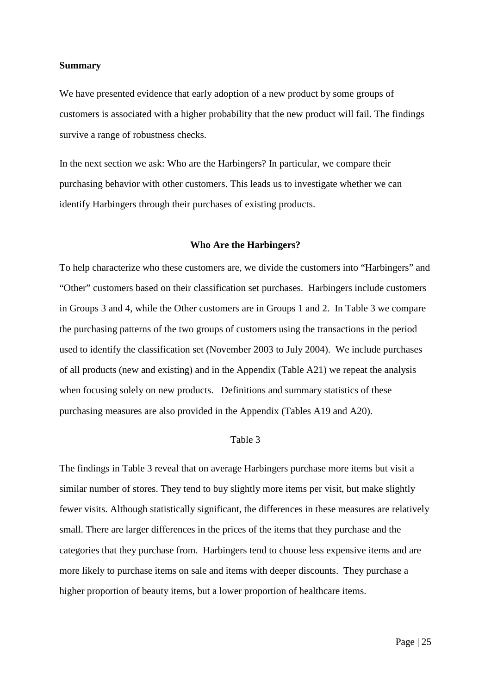#### **Summary**

We have presented evidence that early adoption of a new product by some groups of customers is associated with a higher probability that the new product will fail. The findings survive a range of robustness checks.

In the next section we ask: Who are the Harbingers? In particular, we compare their purchasing behavior with other customers. This leads us to investigate whether we can identify Harbingers through their purchases of existing products.

#### **Who Are the Harbingers?**

To help characterize who these customers are, we divide the customers into "Harbingers" and "Other" customers based on their classification set purchases. Harbingers include customers in Groups 3 and 4, while the Other customers are in Groups 1 and 2. In Table 3 we compare the purchasing patterns of the two groups of customers using the transactions in the period used to identify the classification set (November 2003 to July 2004). We include purchases of all products (new and existing) and in the Appendix (Table A21) we repeat the analysis when focusing solely on new products. Definitions and summary statistics of these purchasing measures are also provided in the Appendix (Tables A19 and A20).

#### Table 3

The findings in Table 3 reveal that on average Harbingers purchase more items but visit a similar number of stores. They tend to buy slightly more items per visit, but make slightly fewer visits. Although statistically significant, the differences in these measures are relatively small. There are larger differences in the prices of the items that they purchase and the categories that they purchase from. Harbingers tend to choose less expensive items and are more likely to purchase items on sale and items with deeper discounts. They purchase a higher proportion of beauty items, but a lower proportion of healthcare items.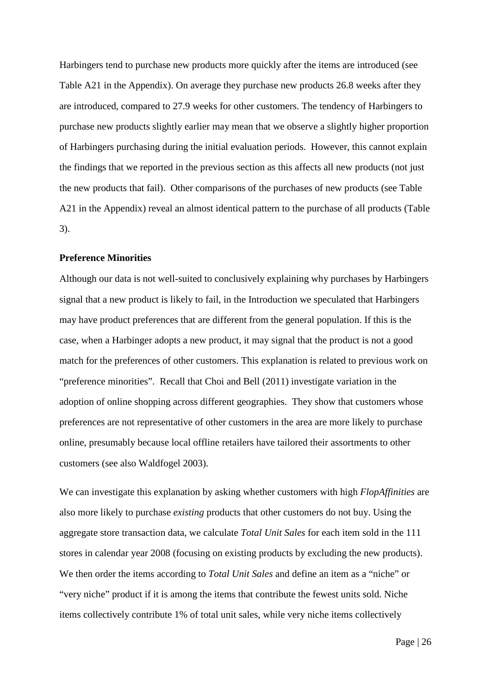Harbingers tend to purchase new products more quickly after the items are introduced (see Table A21 in the Appendix). On average they purchase new products 26.8 weeks after they are introduced, compared to 27.9 weeks for other customers. The tendency of Harbingers to purchase new products slightly earlier may mean that we observe a slightly higher proportion of Harbingers purchasing during the initial evaluation periods. However, this cannot explain the findings that we reported in the previous section as this affects all new products (not just the new products that fail). Other comparisons of the purchases of new products (see Table A21 in the Appendix) reveal an almost identical pattern to the purchase of all products (Table 3).

## **Preference Minorities**

Although our data is not well-suited to conclusively explaining why purchases by Harbingers signal that a new product is likely to fail, in the Introduction we speculated that Harbingers may have product preferences that are different from the general population. If this is the case, when a Harbinger adopts a new product, it may signal that the product is not a good match for the preferences of other customers. This explanation is related to previous work on "preference minorities". Recall that Choi and Bell (2011) investigate variation in the adoption of online shopping across different geographies. They show that customers whose preferences are not representative of other customers in the area are more likely to purchase online, presumably because local offline retailers have tailored their assortments to other customers (see also Waldfogel 2003).

We can investigate this explanation by asking whether customers with high *FlopAffinities* are also more likely to purchase *existing* products that other customers do not buy. Using the aggregate store transaction data, we calculate *Total Unit Sales* for each item sold in the 111 stores in calendar year 2008 (focusing on existing products by excluding the new products). We then order the items according to *Total Unit Sales* and define an item as a "niche" or "very niche" product if it is among the items that contribute the fewest units sold. Niche items collectively contribute 1% of total unit sales, while very niche items collectively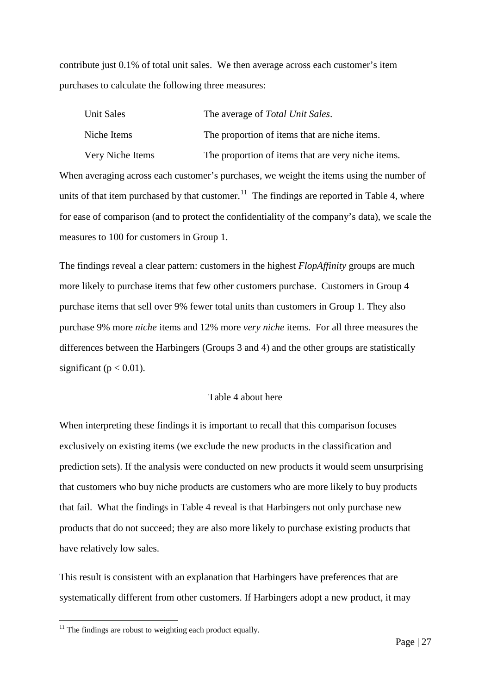contribute just 0.1% of total unit sales. We then average across each customer's item purchases to calculate the following three measures:

|                                                                                                          | Unit Sales       | The average of Total Unit Sales.                   |  |  |
|----------------------------------------------------------------------------------------------------------|------------------|----------------------------------------------------|--|--|
|                                                                                                          | Niche Items      | The proportion of items that are niche items.      |  |  |
|                                                                                                          | Very Niche Items | The proportion of items that are very niche items. |  |  |
| When averaging across each customer's purchases, we weight the items using the number of                 |                  |                                                    |  |  |
| units of that item purchased by that customer. <sup>11</sup> The findings are reported in Table 4, where |                  |                                                    |  |  |
| for ease of comparison (and to protect the confidentiality of the company's data), we scale the          |                  |                                                    |  |  |
| measures to 100 for customers in Group 1.                                                                |                  |                                                    |  |  |

The findings reveal a clear pattern: customers in the highest *FlopAffinity* groups are much more likely to purchase items that few other customers purchase. Customers in Group 4 purchase items that sell over 9% fewer total units than customers in Group 1. They also purchase 9% more *niche* items and 12% more *very niche* items. For all three measures the differences between the Harbingers (Groups 3 and 4) and the other groups are statistically significant ( $p < 0.01$ ).

# Table 4 about here

When interpreting these findings it is important to recall that this comparison focuses exclusively on existing items (we exclude the new products in the classification and prediction sets). If the analysis were conducted on new products it would seem unsurprising that customers who buy niche products are customers who are more likely to buy products that fail. What the findings in Table 4 reveal is that Harbingers not only purchase new products that do not succeed; they are also more likely to purchase existing products that have relatively low sales.

This result is consistent with an explanation that Harbingers have preferences that are systematically different from other customers. If Harbingers adopt a new product, it may

<span id="page-27-0"></span> $11$  The findings are robust to weighting each product equally.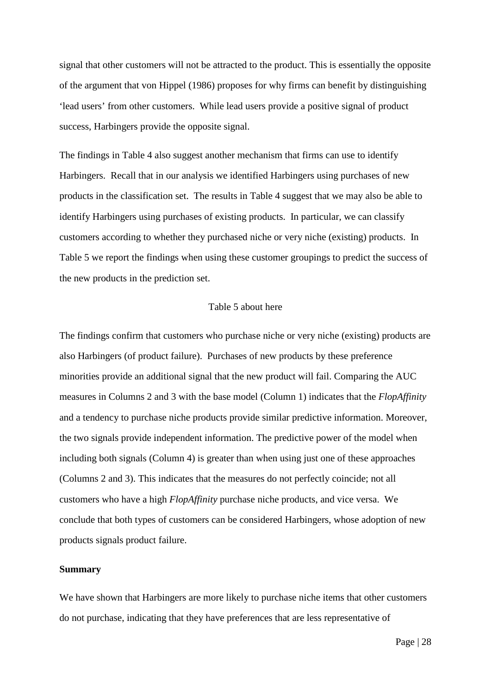signal that other customers will not be attracted to the product. This is essentially the opposite of the argument that von Hippel (1986) proposes for why firms can benefit by distinguishing 'lead users' from other customers. While lead users provide a positive signal of product success, Harbingers provide the opposite signal.

The findings in Table 4 also suggest another mechanism that firms can use to identify Harbingers. Recall that in our analysis we identified Harbingers using purchases of new products in the classification set. The results in Table 4 suggest that we may also be able to identify Harbingers using purchases of existing products. In particular, we can classify customers according to whether they purchased niche or very niche (existing) products. In Table 5 we report the findings when using these customer groupings to predict the success of the new products in the prediction set.

## Table 5 about here

The findings confirm that customers who purchase niche or very niche (existing) products are also Harbingers (of product failure). Purchases of new products by these preference minorities provide an additional signal that the new product will fail. Comparing the AUC measures in Columns 2 and 3 with the base model (Column 1) indicates that the *FlopAffinity* and a tendency to purchase niche products provide similar predictive information. Moreover, the two signals provide independent information. The predictive power of the model when including both signals (Column 4) is greater than when using just one of these approaches (Columns 2 and 3). This indicates that the measures do not perfectly coincide; not all customers who have a high *FlopAffinity* purchase niche products, and vice versa. We conclude that both types of customers can be considered Harbingers, whose adoption of new products signals product failure.

#### **Summary**

We have shown that Harbingers are more likely to purchase niche items that other customers do not purchase, indicating that they have preferences that are less representative of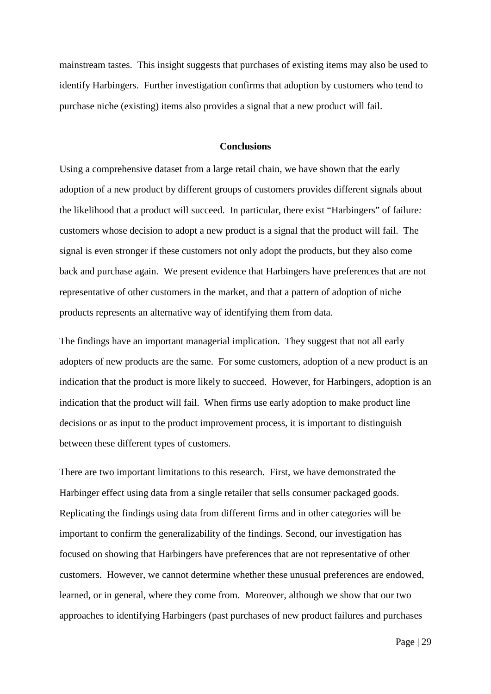mainstream tastes. This insight suggests that purchases of existing items may also be used to identify Harbingers. Further investigation confirms that adoption by customers who tend to purchase niche (existing) items also provides a signal that a new product will fail.

#### **Conclusions**

Using a comprehensive dataset from a large retail chain, we have shown that the early adoption of a new product by different groups of customers provides different signals about the likelihood that a product will succeed. In particular, there exist "Harbingers" of failure*:*  customers whose decision to adopt a new product is a signal that the product will fail. The signal is even stronger if these customers not only adopt the products, but they also come back and purchase again. We present evidence that Harbingers have preferences that are not representative of other customers in the market, and that a pattern of adoption of niche products represents an alternative way of identifying them from data.

The findings have an important managerial implication. They suggest that not all early adopters of new products are the same. For some customers, adoption of a new product is an indication that the product is more likely to succeed. However, for Harbingers, adoption is an indication that the product will fail. When firms use early adoption to make product line decisions or as input to the product improvement process, it is important to distinguish between these different types of customers.

There are two important limitations to this research. First, we have demonstrated the Harbinger effect using data from a single retailer that sells consumer packaged goods. Replicating the findings using data from different firms and in other categories will be important to confirm the generalizability of the findings. Second, our investigation has focused on showing that Harbingers have preferences that are not representative of other customers. However, we cannot determine whether these unusual preferences are endowed, learned, or in general, where they come from. Moreover, although we show that our two approaches to identifying Harbingers (past purchases of new product failures and purchases

Page | 29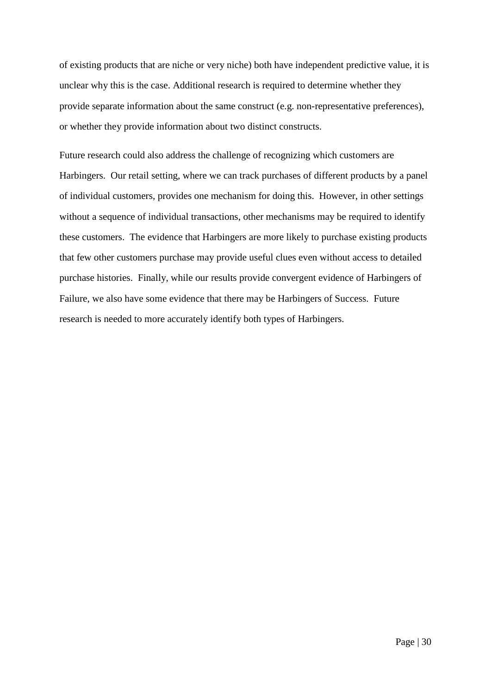of existing products that are niche or very niche) both have independent predictive value, it is unclear why this is the case. Additional research is required to determine whether they provide separate information about the same construct (e.g. non-representative preferences), or whether they provide information about two distinct constructs.

Future research could also address the challenge of recognizing which customers are Harbingers. Our retail setting, where we can track purchases of different products by a panel of individual customers, provides one mechanism for doing this. However, in other settings without a sequence of individual transactions, other mechanisms may be required to identify these customers. The evidence that Harbingers are more likely to purchase existing products that few other customers purchase may provide useful clues even without access to detailed purchase histories. Finally, while our results provide convergent evidence of Harbingers of Failure, we also have some evidence that there may be Harbingers of Success. Future research is needed to more accurately identify both types of Harbingers.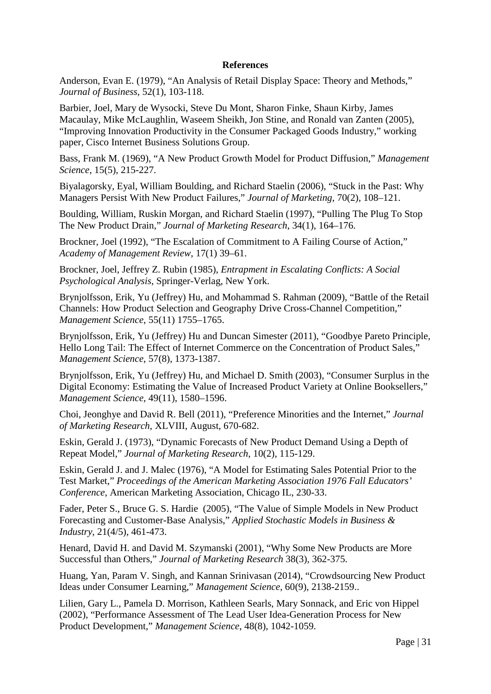## **References**

Anderson, Evan E. (1979), "An Analysis of Retail Display Space: Theory and Methods," *Journal of Business*, 52(1), 103-118.

Barbier, Joel, Mary de Wysocki, Steve Du Mont, Sharon Finke, Shaun Kirby, James Macaulay, Mike McLaughlin, Waseem Sheikh, Jon Stine, and Ronald van Zanten (2005), "Improving Innovation Productivity in the Consumer Packaged Goods Industry," working paper, Cisco Internet Business Solutions Group.

Bass, Frank M. (1969), "A New Product Growth Model for Product Diffusion," *Management Science*, 15(5), 215-227.

Biyalagorsky, Eyal, William Boulding, and Richard Staelin (2006), "Stuck in the Past: Why Managers Persist With New Product Failures," *Journal of Marketing*, 70(2), 108–121.

Boulding, William, Ruskin Morgan, and Richard Staelin (1997), "Pulling The Plug To Stop The New Product Drain," *Journal of Marketing Research*, 34(1), 164–176.

Brockner, Joel (1992), "The Escalation of Commitment to A Failing Course of Action," *Academy of Management Review*, 17(1) 39–61.

Brockner, Joel, Jeffrey Z. Rubin (1985), *Entrapment in Escalating Conflicts: A Social Psychological Analysis*, Springer-Verlag, New York.

Brynjolfsson, Erik, Yu (Jeffrey) Hu, and Mohammad S. Rahman (2009), "Battle of the Retail Channels: How Product Selection and Geography Drive Cross-Channel Competition," *Management Science*, 55(11) 1755–1765.

Brynjolfsson, Erik, Yu (Jeffrey) Hu and Duncan Simester (2011), "Goodbye Pareto Principle, Hello Long Tail: The Effect of Internet Commerce on the Concentration of Product Sales," *Management Science*, 57(8), 1373-1387.

Brynjolfsson, Erik, Yu (Jeffrey) Hu, and Michael D. Smith (2003), "Consumer Surplus in the Digital Economy: Estimating the Value of Increased Product Variety at Online Booksellers," *Management Science*, 49(11), 1580–1596.

Choi, Jeonghye and David R. Bell (2011), "Preference Minorities and the Internet," *Journal of Marketing Research*, XLVIII, August, 670-682.

Eskin, Gerald J. (1973), "Dynamic Forecasts of New Product Demand Using a Depth of Repeat Model," *Journal of Marketing Research*, 10(2), 115-129.

Eskin, Gerald J. and J. Malec (1976), "A Model for Estimating Sales Potential Prior to the Test Market," *Proceedings of the American Marketing Association 1976 Fall Educators' Conference*, American Marketing Association, Chicago IL, 230-33.

Fader, Peter S., Bruce G. S. Hardie (2005), "The Value of Simple Models in New Product Forecasting and Customer-Base Analysis," *Applied Stochastic Models in Business & Industry*, 21(4/5), 461-473.

Henard, David H. and David M. Szymanski (2001), "Why Some New Products are More Successful than Others," *Journal of Marketing Research* 38(3), 362-375.

Huang, Yan, Param V. Singh, and Kannan Srinivasan (2014), "Crowdsourcing New Product Ideas under Consumer Learning," *Management Science*, 60(9), 2138-2159..

Lilien, Gary L., Pamela D. Morrison, Kathleen Searls, Mary Sonnack, and Eric von Hippel (2002), "Performance Assessment of The Lead User Idea-Generation Process for New Product Development," *Management Science*, 48(8), 1042-1059.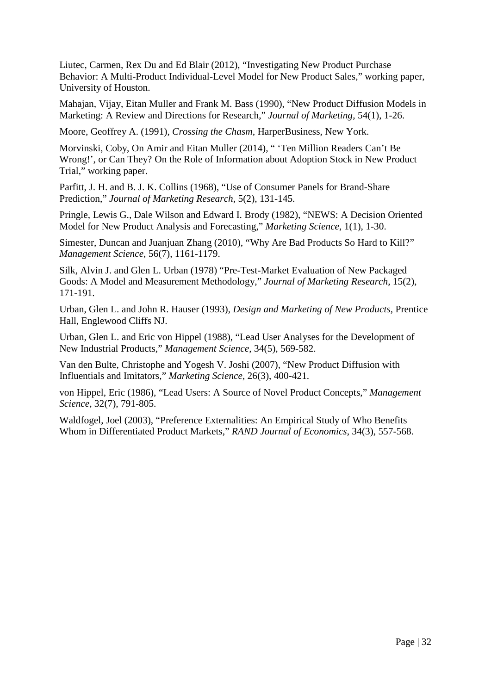Liutec, Carmen, Rex Du and Ed Blair (2012), "Investigating New Product Purchase Behavior: A Multi-Product Individual-Level Model for New Product Sales," working paper, University of Houston.

Mahajan, Vijay, Eitan Muller and Frank M. Bass (1990), "New Product Diffusion Models in Marketing: A Review and Directions for Research," *Journal of Marketing*, 54(1), 1-26.

Moore, Geoffrey A. (1991), *Crossing the Chasm*, HarperBusiness, New York.

Morvinski, Coby, On Amir and Eitan Muller (2014), " 'Ten Million Readers Can't Be Wrong!', or Can They? On the Role of Information about Adoption Stock in New Product Trial," working paper.

Parfitt, J. H. and B. J. K. Collins (1968), "Use of Consumer Panels for Brand-Share Prediction," *Journal of Marketing Research*, 5(2), 131-145.

Pringle, Lewis G., Dale Wilson and Edward I. Brody (1982), "NEWS: A Decision Oriented Model for New Product Analysis and Forecasting," *Marketing Science*, 1(1), 1-30.

Simester, Duncan and Juanjuan Zhang (2010), "Why Are Bad Products So Hard to Kill?" *Management Science*, 56(7), 1161-1179.

Silk, Alvin J. and Glen L. Urban (1978) "Pre-Test-Market Evaluation of New Packaged Goods: A Model and Measurement Methodology," *Journal of Marketing Research*, 15(2), 171-191.

Urban, Glen L. and John R. Hauser (1993), *Design and Marketing of New Products*, Prentice Hall, Englewood Cliffs NJ.

Urban, Glen L. and Eric von Hippel (1988), "Lead User Analyses for the Development of New Industrial Products," *Management Science*, 34(5), 569-582.

Van den Bulte, Christophe and Yogesh V. Joshi (2007), "New Product Diffusion with Influentials and Imitators," *Marketing Science*, 26(3), 400-421.

von Hippel, Eric (1986), "Lead Users: A Source of Novel Product Concepts," *Management Science*, 32(7), 791-805.

Waldfogel, Joel (2003), "Preference Externalities: An Empirical Study of Who Benefits Whom in Differentiated Product Markets," *RAND Journal of Economics*, 34(3), 557-568.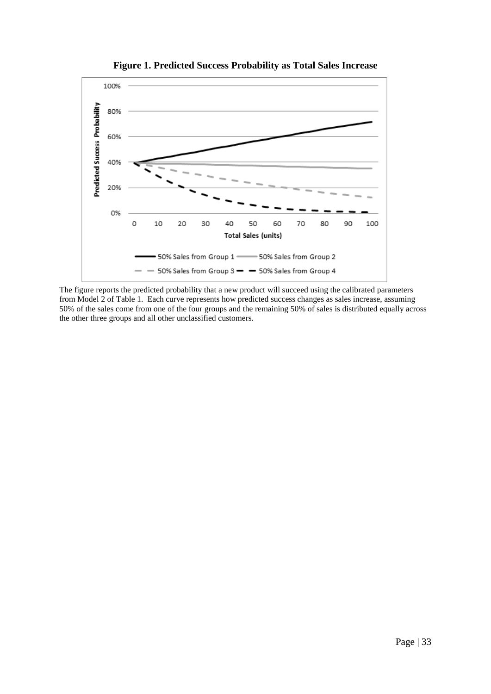

**Figure 1. Predicted Success Probability as Total Sales Increase**

The figure reports the predicted probability that a new product will succeed using the calibrated parameters from Model 2 of Table 1. Each curve represents how predicted success changes as sales increase, assuming 50% of the sales come from one of the four groups and the remaining 50% of sales is distributed equally across the other three groups and all other unclassified customers.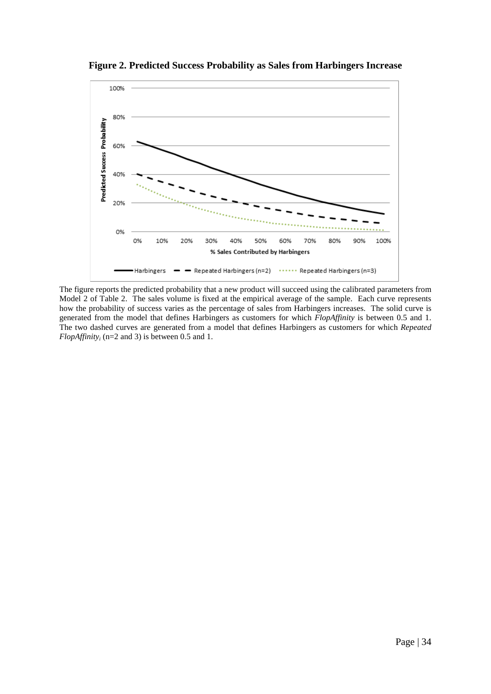

**Figure 2. Predicted Success Probability as Sales from Harbingers Increase**

The figure reports the predicted probability that a new product will succeed using the calibrated parameters from Model 2 of Table 2. The sales volume is fixed at the empirical average of the sample. Each curve represents how the probability of success varies as the percentage of sales from Harbingers increases. The solid curve is generated from the model that defines Harbingers as customers for which *FlopAffinity* is between 0.5 and 1. The two dashed curves are generated from a model that defines Harbingers as customers for which *Repeated FlopAffinity<sub>i</sub>* (n=2 and 3) is between 0.5 and 1.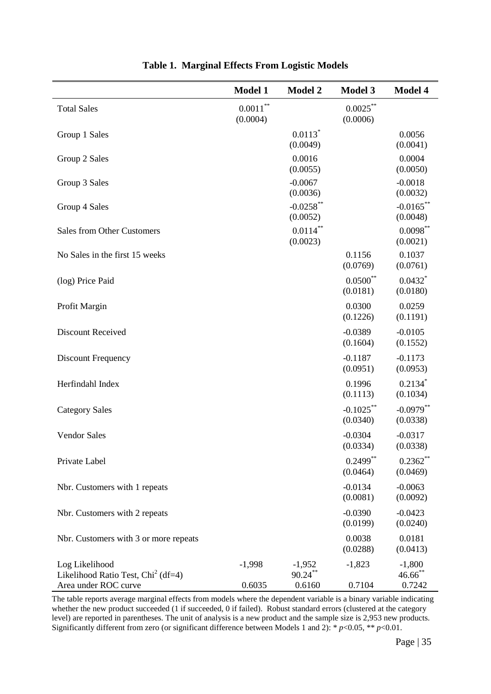|                                                                                          | Model 1                    | <b>Model 2</b>                    | <b>Model 3</b>           | Model 4                          |
|------------------------------------------------------------------------------------------|----------------------------|-----------------------------------|--------------------------|----------------------------------|
| <b>Total Sales</b>                                                                       | $0.0011\sp{*}$<br>(0.0004) |                                   | $0.0025***$<br>(0.0006)  |                                  |
| Group 1 Sales                                                                            |                            | $0.0113$ <sup>*</sup><br>(0.0049) |                          | 0.0056<br>(0.0041)               |
| Group 2 Sales                                                                            |                            | 0.0016<br>(0.0055)                |                          | 0.0004<br>(0.0050)               |
| Group 3 Sales                                                                            |                            | $-0.0067$<br>(0.0036)             |                          | $-0.0018$<br>(0.0032)            |
| Group 4 Sales                                                                            |                            | $-0.0258$ **<br>(0.0052)          |                          | $-0.0165***$<br>(0.0048)         |
| <b>Sales from Other Customers</b>                                                        |                            | $0.0114$ **<br>(0.0023)           |                          | $0.0098***$<br>(0.0021)          |
| No Sales in the first 15 weeks                                                           |                            |                                   | 0.1156<br>(0.0769)       | 0.1037<br>(0.0761)               |
| (log) Price Paid                                                                         |                            |                                   | $0.0500**$<br>(0.0181)   | $0.0432$ *<br>(0.0180)           |
| Profit Margin                                                                            |                            |                                   | 0.0300<br>(0.1226)       | 0.0259<br>(0.1191)               |
| <b>Discount Received</b>                                                                 |                            |                                   | $-0.0389$<br>(0.1604)    | $-0.0105$<br>(0.1552)            |
| Discount Frequency                                                                       |                            |                                   | $-0.1187$<br>(0.0951)    | $-0.1173$<br>(0.0953)            |
| Herfindahl Index                                                                         |                            |                                   | 0.1996<br>(0.1113)       | $0.2134$ *<br>(0.1034)           |
| <b>Category Sales</b>                                                                    |                            |                                   | $-0.1025$ **<br>(0.0340) | $-0.0979$ **<br>(0.0338)         |
| <b>Vendor Sales</b>                                                                      |                            |                                   | $-0.0304$<br>(0.0334)    | $-0.0317$<br>(0.0338)            |
| Private Label                                                                            |                            |                                   | $0.2499***$<br>(0.0464)  | $0.2362**$<br>(0.0469)           |
| Nbr. Customers with 1 repeats                                                            |                            |                                   | $-0.0134$<br>(0.0081)    | $-0.0063$<br>(0.0092)            |
| Nbr. Customers with 2 repeats                                                            |                            |                                   | $-0.0390$<br>(0.0199)    | $-0.0423$<br>(0.0240)            |
| Nbr. Customers with 3 or more repeats                                                    |                            |                                   | 0.0038<br>(0.0288)       | 0.0181<br>(0.0413)               |
| Log Likelihood<br>Likelihood Ratio Test, Chi <sup>2</sup> (df=4)<br>Area under ROC curve | $-1,998$<br>0.6035         | $-1,952$<br>$90.24***$<br>0.6160  | $-1,823$<br>0.7104       | $-1,800$<br>$46.66$ **<br>0.7242 |

The table reports average marginal effects from models where the dependent variable is a binary variable indicating whether the new product succeeded (1 if succeeded, 0 if failed). Robust standard errors (clustered at the category level) are reported in parentheses. The unit of analysis is a new product and the sample size is 2,953 new products. Significantly different from zero (or significant difference between Models 1 and 2):  $* p < 0.05$ ,  $* p < 0.01$ .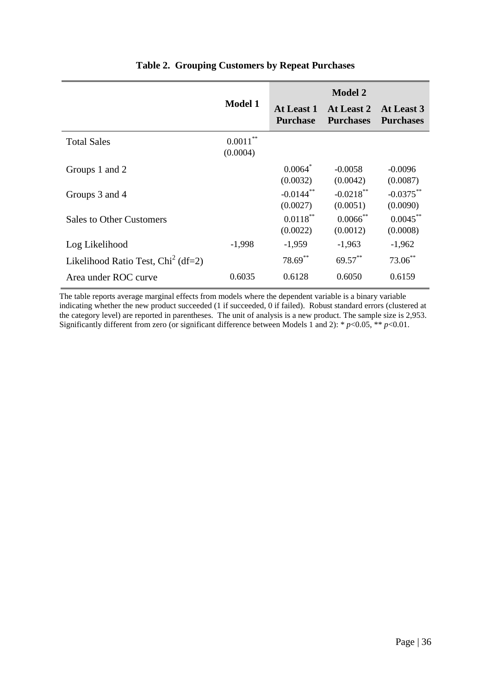|                                      | <b>Model 1</b>          | At Least 1<br><b>Purchase</b>       | <b>Model 2</b><br>At Least 2<br><b>Purchases</b> | At Least 3<br><b>Purchases</b> |
|--------------------------------------|-------------------------|-------------------------------------|--------------------------------------------------|--------------------------------|
| <b>Total Sales</b>                   | $0.0011***$<br>(0.0004) |                                     |                                                  |                                |
| Groups 1 and 2                       |                         | 0.0064<br>(0.0032)                  | $-0.0058$<br>(0.0042)                            | $-0.0096$<br>(0.0087)          |
| Groups 3 and 4                       |                         | $-0.0144$ <sup>**</sup><br>(0.0027) | $-0.0218$ <sup>**</sup><br>(0.0051)              | $-0.0375$ **<br>(0.0090)       |
| <b>Sales to Other Customers</b>      |                         | $0.0118***$<br>(0.0022)             | $0.0066$ **<br>(0.0012)                          | $0.0045***$<br>(0.0008)        |
| Log Likelihood                       | $-1,998$                | $-1,959$                            | $-1,963$                                         | $-1,962$                       |
| Likelihood Ratio Test, $Chi2$ (df=2) |                         | 78.69**                             | $69.57***$                                       | $73.06$ **                     |
| Area under ROC curve                 | 0.6035                  | 0.6128                              | 0.6050                                           | 0.6159                         |

# **Table 2. Grouping Customers by Repeat Purchases**

The table reports average marginal effects from models where the dependent variable is a binary variable indicating whether the new product succeeded (1 if succeeded, 0 if failed). Robust standard errors (clustered at the category level) are reported in parentheses. The unit of analysis is a new product. The sample size is 2,953. Significantly different from zero (or significant difference between Models 1 and 2):  $* p < 0.05$ ,  $* p < 0.01$ .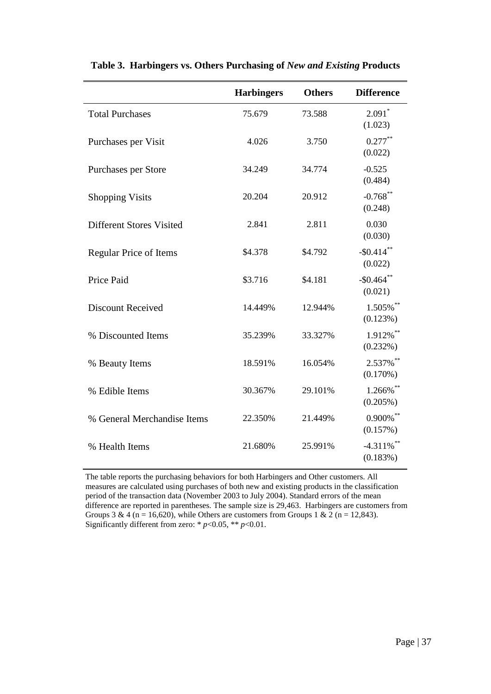|                                 | <b>Harbingers</b> | <b>Others</b> | <b>Difference</b>                    |
|---------------------------------|-------------------|---------------|--------------------------------------|
| <b>Total Purchases</b>          | 75.679            | 73.588        | $2.091$ <sup>*</sup><br>(1.023)      |
| Purchases per Visit             | 4.026             | 3.750         | $0.277***$<br>(0.022)                |
| Purchases per Store             | 34.249            | 34.774        | $-0.525$<br>(0.484)                  |
| <b>Shopping Visits</b>          | 20.204            | 20.912        | $-0.768$ **<br>(0.248)               |
| <b>Different Stores Visited</b> | 2.841             | 2.811         | 0.030<br>(0.030)                     |
| <b>Regular Price of Items</b>   | \$4.378           | \$4.792       | $-$0.414$ **<br>(0.022)              |
| Price Paid                      | \$3.716           | \$4.181       | $-$0.464$ **<br>(0.021)              |
| <b>Discount Received</b>        | 14.449%           | 12.944%       | 1.505%**<br>(0.123%)                 |
| % Discounted Items              | 35.239%           | 33.327%       | $1.912\%$ **<br>(0.232%)             |
| % Beauty Items                  | 18.591%           | 16.054%       | 2.537%**<br>(0.170%)                 |
| % Edible Items                  | 30.367%           | 29.101%       | 1.266%**<br>$(0.205\%)$              |
| % General Merchandise Items     | 22.350%           | 21.449%       | $0.900\%$ **<br>(0.157%)             |
| % Health Items                  | 21.680%           | 25.991%       | $-4.311\%$ <sup>**</sup><br>(0.183%) |

**Table 3. Harbingers vs. Others Purchasing of** *New and Existing* **Products**

The table reports the purchasing behaviors for both Harbingers and Other customers. All measures are calculated using purchases of both new and existing products in the classification period of the transaction data (November 2003 to July 2004). Standard errors of the mean difference are reported in parentheses. The sample size is 29,463. Harbingers are customers from Groups 3 & 4 (n = 16,620), while Others are customers from Groups 1 & 2 (n = 12,843). Significantly different from zero: \* *p*<0.05, \*\* *p*<0.01.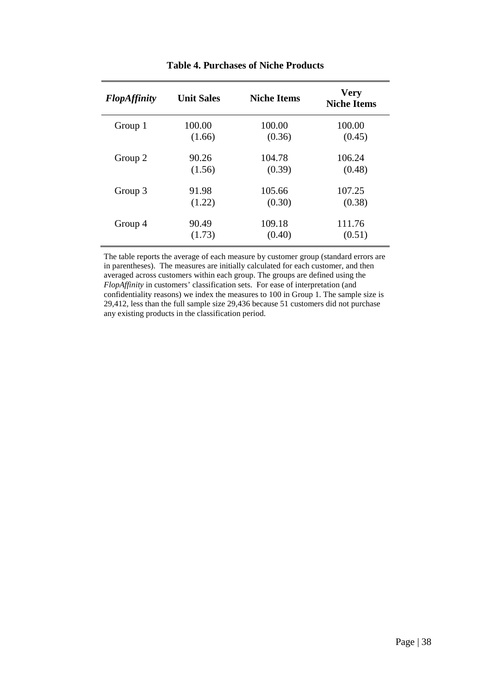| <b>FlopAffinity</b> | <b>Unit Sales</b> | <b>Niche Items</b> | <b>Very</b><br><b>Niche Items</b> |
|---------------------|-------------------|--------------------|-----------------------------------|
| Group 1             | 100.00            | 100.00             | 100.00                            |
|                     | (1.66)            | (0.36)             | (0.45)                            |
| Group 2             | 90.26             | 104.78             | 106.24                            |
|                     | (1.56)            | (0.39)             | (0.48)                            |
| Group 3             | 91.98             | 105.66             | 107.25                            |
|                     | (1.22)            | (0.30)             | (0.38)                            |
| Group 4             | 90.49             | 109.18             | 111.76                            |
|                     | (1.73)            | (0.40)             | (0.51)                            |

## **Table 4. Purchases of Niche Products**

The table reports the average of each measure by customer group (standard errors are in parentheses). The measures are initially calculated for each customer, and then averaged across customers within each group. The groups are defined using the *FlopAffinity* in customers' classification sets. For ease of interpretation (and confidentiality reasons) we index the measures to 100 in Group 1. The sample size is 29,412, less than the full sample size 29,436 because 51 customers did not purchase any existing products in the classification period.